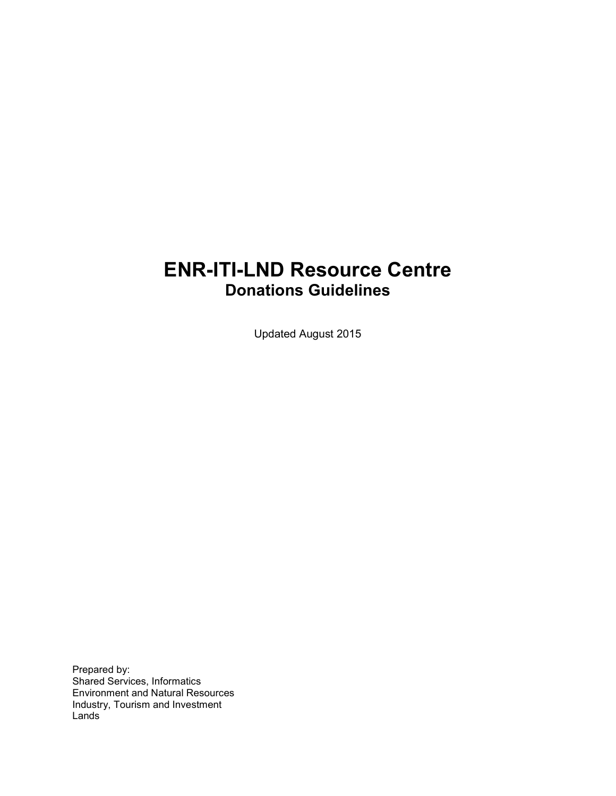## **ENR-ITI-LND Resource Centre Donations Guidelines**

Updated August 2015

Prepared by: Shared Services, Informatics Environment and Natural Resources Industry, Tourism and Investment Lands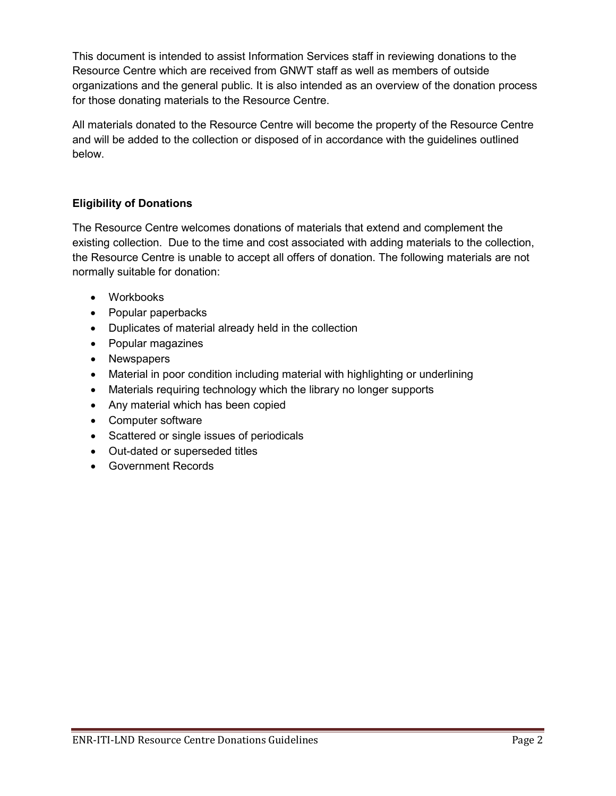This document is intended to assist Information Services staff in reviewing donations to the Resource Centre which are received from GNWT staff as well as members of outside organizations and the general public. It is also intended as an overview of the donation process for those donating materials to the Resource Centre.

All materials donated to the Resource Centre will become the property of the Resource Centre and will be added to the collection or disposed of in accordance with the guidelines outlined below.

## **Eligibility of Donations**

The Resource Centre welcomes donations of materials that extend and complement the existing collection. Due to the time and cost associated with adding materials to the collection, the Resource Centre is unable to accept all offers of donation. The following materials are not normally suitable for donation:

- Workbooks
- Popular paperbacks
- Duplicates of material already held in the collection
- Popular magazines
- Newspapers
- Material in poor condition including material with highlighting or underlining
- Materials requiring technology which the library no longer supports
- Any material which has been copied
- Computer software
- Scattered or single issues of periodicals
- Out-dated or superseded titles
- Government Records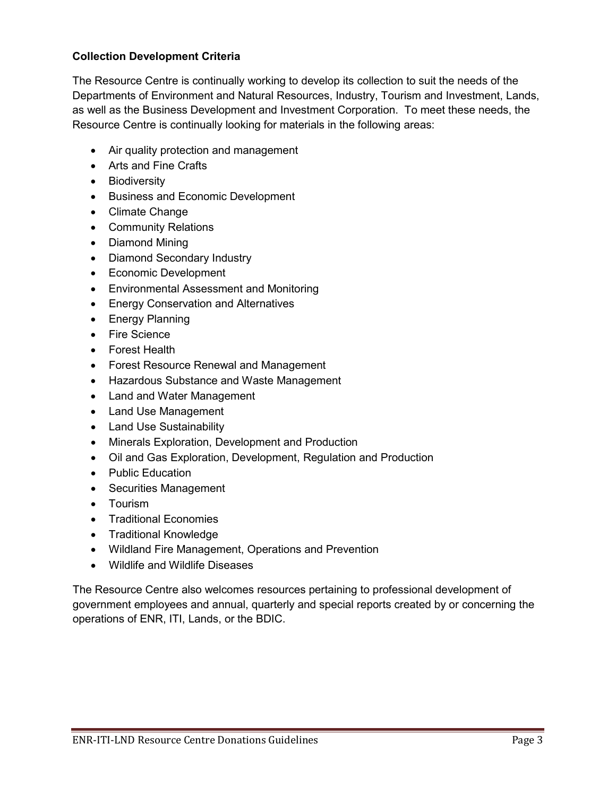## **Collection Development Criteria**

The Resource Centre is continually working to develop its collection to suit the needs of the Departments of Environment and Natural Resources, Industry, Tourism and Investment, Lands, as well as the Business Development and Investment Corporation. To meet these needs, the Resource Centre is continually looking for materials in the following areas:

- Air quality protection and management
- Arts and Fine Crafts
- Biodiversity
- Business and Economic Development
- Climate Change
- Community Relations
- Diamond Mining
- Diamond Secondary Industry
- Economic Development
- Environmental Assessment and Monitoring
- Energy Conservation and Alternatives
- Energy Planning
- Fire Science
- Forest Health
- Forest Resource Renewal and Management
- Hazardous Substance and Waste Management
- Land and Water Management
- Land Use Management
- Land Use Sustainability
- Minerals Exploration, Development and Production
- Oil and Gas Exploration, Development, Regulation and Production
- Public Education
- Securities Management
- Tourism
- Traditional Economies
- Traditional Knowledge
- Wildland Fire Management, Operations and Prevention
- Wildlife and Wildlife Diseases

The Resource Centre also welcomes resources pertaining to professional development of government employees and annual, quarterly and special reports created by or concerning the operations of ENR, ITI, Lands, or the BDIC.